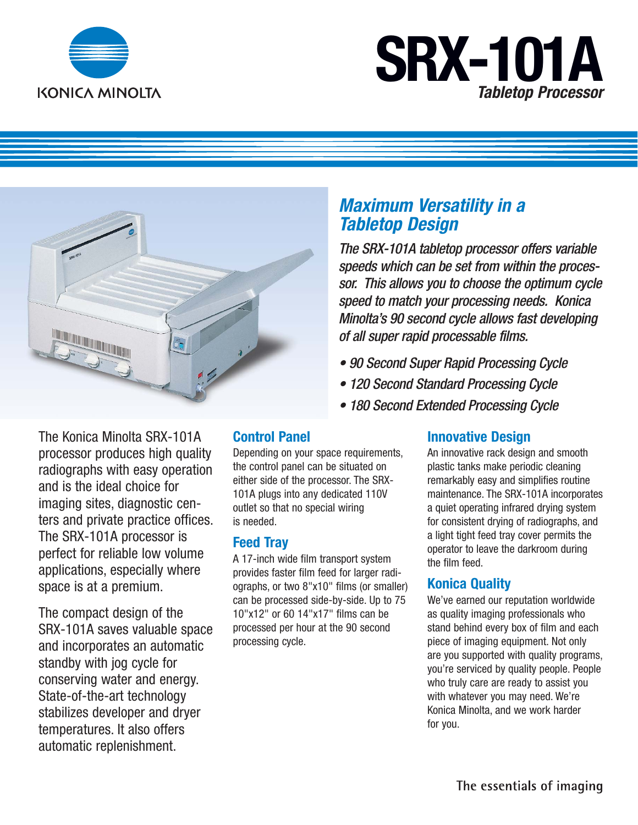

# **SRX-101A** *Tabletop Processor*



The Konica Minolta SRX-101A processor produces high quality radiographs with easy operation and is the ideal choice for imaging sites, diagnostic centers and private practice offices. The SRX-101A processor is perfect for reliable low volume applications, especially where space is at a premium.

The compact design of the SRX-101A saves valuable space and incorporates an automatic standby with jog cycle for conserving water and energy. State-of-the-art technology stabilizes developer and dryer temperatures. It also offers automatic replenishment.

## **Control Panel**

Depending on your space requirements, the control panel can be situated on either side of the processor. The SRX-101A plugs into any dedicated 110V outlet so that no special wiring is needed.

#### **Feed Tray**

A 17-inch wide film transport system provides faster film feed for larger radiographs, or two 8"x10" films (or smaller) can be processed side-by-side. Up to 75 10"x12" or 60 14"x17" films can be processed per hour at the 90 second processing cycle.

# *Maximum Versatility in a Tabletop Design*

*The SRX-101A tabletop processor offers variable speeds which can be set from within the processor. This allows you to choose the optimum cycle speed to match your processing needs. Konica Minolta's 90 second cycle allows fast developing of all super rapid processable films.*

- *90 Second Super Rapid Processing Cycle*
- *120 Second Standard Processing Cycle*
- *180 Second Extended Processing Cycle*

## **Innovative Design**

An innovative rack design and smooth plastic tanks make periodic cleaning remarkably easy and simplifies routine maintenance. The SRX-101A incorporates a quiet operating infrared drying system for consistent drying of radiographs, and a light tight feed tray cover permits the operator to leave the darkroom during the film feed.

#### **Konica Quality**

We've earned our reputation worldwide as quality imaging professionals who stand behind every box of film and each piece of imaging equipment. Not only are you supported with quality programs, you're serviced by quality people. People who truly care are ready to assist you with whatever you may need. We're Konica Minolta, and we work harder for you.